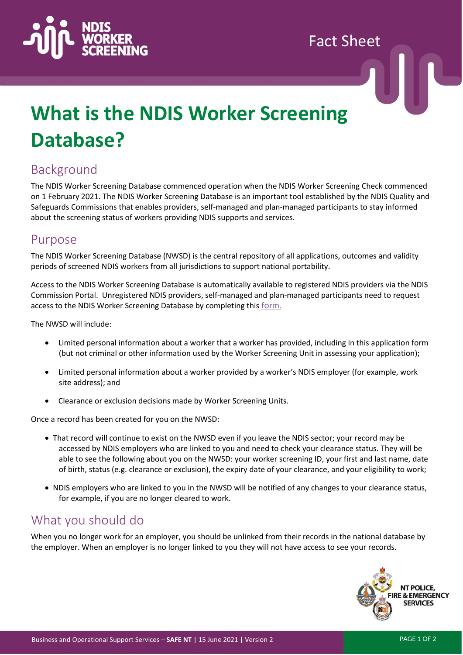

Fact Sheet

# **What is the NDIS Worker Screening Database?**

## Background

The NDIS Worker Screening Database commenced operation when the NDIS Worker Screening Check commenced on 1 February 2021. The NDIS Worker Screening Database is an important tool established by the NDIS Quality and Safeguards Commissions that enables providers, self-managed and plan-managed participants to stay informed about the screening status of workers providing NDIS supports and services.

#### Purpose

The NDIS Worker Screening Database (NWSD) is the central repository of all applications, outcomes and validity periods of screened NDIS workers from all jurisdictions to support national portability.

Access to the NDIS Worker Screening Database is automatically available to registered NDIS providers via the NDIS Commission Portal. Unregistered NDIS providers, self-managed and plan-managed participants need to request access to the NDIS Worker Screening Database by completing this [form.](https://forms.business.gov.au/smartforms/servlet/SmartForm.html?formCode=PRD00-NDIAWS&FRID=4-8NNJTUT&RegID=4-8NNJU1J)

The NWSD will include:

- Limited personal information about a worker that a worker has provided, including in this application form (but not criminal or other information used by the Worker Screening Unit in assessing your application);
- Limited personal information about a worker provided by a worker's NDIS employer (for example, work site address); and
- Clearance or exclusion decisions made by Worker Screening Units.

Once a record has been created for you on the NWSD:

- That record will continue to exist on the NWSD even if you leave the NDIS sector; your record may be accessed by NDIS employers who are linked to you and need to check your clearance status. They will be able to see the following about you on the NWSD: your worker screening ID, your first and last name, date of birth, status (e.g. clearance or exclusion), the expiry date of your clearance, and your eligibility to work;
- NDIS employers who are linked to you in the NWSD will be notified of any changes to your clearance status, for example, if you are no longer cleared to work.

### What you should do

When you no longer work for an employer, you should be unlinked from their records in the national database by the employer. When an employer is no longer linked to you they will not have access to see your records.